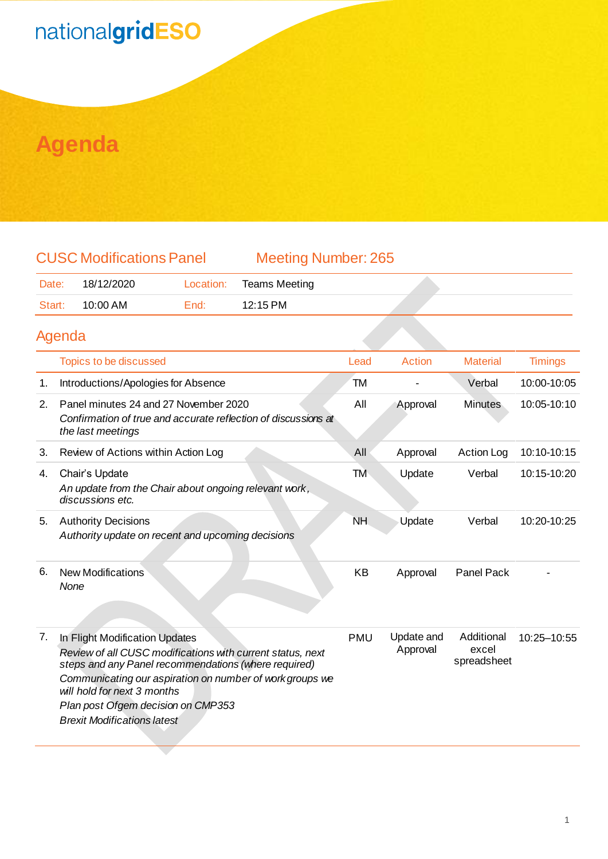# nationalgridESO

#### **Agenda**

| <b>CUSC Modifications Panel</b> |                  |        | <b>Meeting Number: 265</b> |  |  |
|---------------------------------|------------------|--------|----------------------------|--|--|
|                                 | Date: 18/12/2020 |        | Location: Teams Meeting    |  |  |
|                                 | Start: 10:00 AM  | End: T | 12:15 PM                   |  |  |
| Agenda                          |                  |        |                            |  |  |

|    | Topics to be discussed                                                                                                                                                                                                                                                                                                      | Lead       | Action                 | <b>Material</b>                    | <b>Timings</b> |
|----|-----------------------------------------------------------------------------------------------------------------------------------------------------------------------------------------------------------------------------------------------------------------------------------------------------------------------------|------------|------------------------|------------------------------------|----------------|
| 1. | Introductions/Apologies for Absence                                                                                                                                                                                                                                                                                         | TM         |                        | Verbal                             | 10:00-10:05    |
| 2. | Panel minutes 24 and 27 November 2020<br>Confirmation of true and accurate reflection of discussions at<br>the last meetings                                                                                                                                                                                                | All        | Approval               | <b>Minutes</b>                     | 10:05-10:10    |
| 3. | Review of Actions within Action Log                                                                                                                                                                                                                                                                                         | All        | Approval               | <b>Action Log</b>                  | 10:10-10:15    |
| 4. | Chair's Update<br>An update from the Chair about ongoing relevant work,<br>discussions etc.                                                                                                                                                                                                                                 | TM         | Update                 | Verbal                             | 10:15-10:20    |
| 5. | <b>Authority Decisions</b><br>Authority update on recent and upcoming decisions                                                                                                                                                                                                                                             | <b>NH</b>  | Update                 | Verbal                             | 10:20-10:25    |
| 6. | <b>New Modifications</b><br>None                                                                                                                                                                                                                                                                                            | <b>KB</b>  | Approval               | <b>Panel Pack</b>                  |                |
| 7. | In Flight Modification Updates<br>Review of all CUSC modifications with current status, next<br>steps and any Panel recommendations (where required)<br>Communicating our aspiration on number of work groups we<br>will hold for next 3 months<br>Plan post Ofgem decision on CMP353<br><b>Brexit Modifications latest</b> | <b>PMU</b> | Update and<br>Approval | Additional<br>excel<br>spreadsheet | 10:25-10:55    |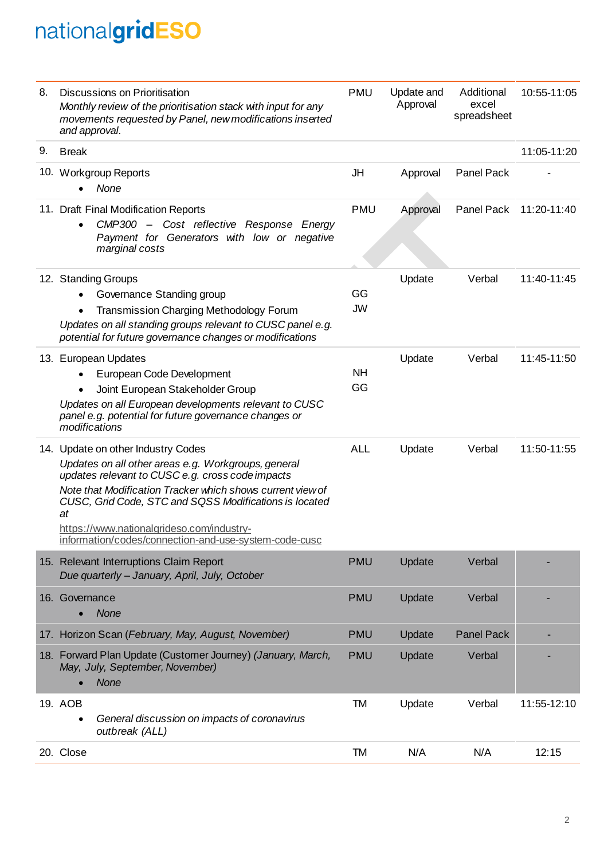## nationalgridESO

| 8. | Discussions on Prioritisation<br>Monthly review of the prioritisation stack with input for any<br>movements requested by Panel, new modifications inserted<br>and approval.                                                                                                                                                                                                       |                 | Update and<br>Approval | Additional<br>excel<br>spreadsheet | 10:55-11:05 |
|----|-----------------------------------------------------------------------------------------------------------------------------------------------------------------------------------------------------------------------------------------------------------------------------------------------------------------------------------------------------------------------------------|-----------------|------------------------|------------------------------------|-------------|
| 9. | <b>Break</b>                                                                                                                                                                                                                                                                                                                                                                      |                 |                        |                                    | 11:05-11:20 |
|    | 10. Workgroup Reports<br>None                                                                                                                                                                                                                                                                                                                                                     | JH              | Approval               | <b>Panel Pack</b>                  |             |
|    | 11. Draft Final Modification Reports<br>CMP300 - Cost reflective Response Energy<br>Payment for Generators with low or negative<br>marginal costs                                                                                                                                                                                                                                 | <b>PMU</b>      | Approval               | Panel Pack                         | 11:20-11:40 |
|    | 12. Standing Groups<br>Governance Standing group<br><b>Transmission Charging Methodology Forum</b><br>Updates on all standing groups relevant to CUSC panel e.g.<br>potential for future governance changes or modifications                                                                                                                                                      | GG<br><b>JW</b> | Update                 | Verbal                             | 11:40-11:45 |
|    | 13. European Updates<br>European Code Development<br>$\bullet$<br>Joint European Stakeholder Group<br>$\bullet$<br>Updates on all European developments relevant to CUSC<br>panel e.g. potential for future governance changes or<br>modifications                                                                                                                                | <b>NH</b><br>GG | Update                 | Verbal                             | 11:45-11:50 |
|    | 14. Update on other Industry Codes<br>Updates on all other areas e.g. Workgroups, general<br>updates relevant to CUSC e.g. cross code impacts<br>Note that Modification Tracker which shows current view of<br>CUSC, Grid Code, STC and SQSS Modifications is located<br>at<br>https://www.nationalgrideso.com/industry-<br>information/codes/connection-and-use-system-code-cusc | <b>ALL</b>      | Update                 | Verbal                             | 11:50-11:55 |
|    | 15. Relevant Interruptions Claim Report<br>Due quarterly - January, April, July, October                                                                                                                                                                                                                                                                                          | <b>PMU</b>      | Update                 | Verbal                             |             |
|    | 16. Governance<br><b>None</b>                                                                                                                                                                                                                                                                                                                                                     | <b>PMU</b>      | Update                 | Verbal                             |             |
|    | 17. Horizon Scan (February, May, August, November)                                                                                                                                                                                                                                                                                                                                | <b>PMU</b>      | Update                 | <b>Panel Pack</b>                  |             |
|    | 18. Forward Plan Update (Customer Journey) (January, March,<br>May, July, September, November)<br><b>None</b>                                                                                                                                                                                                                                                                     | <b>PMU</b>      | Update                 | Verbal                             |             |
|    | 19. AOB<br>General discussion on impacts of coronavirus<br>outbreak (ALL)                                                                                                                                                                                                                                                                                                         | <b>TM</b>       | Update                 | Verbal                             | 11:55-12:10 |
|    | 20. Close                                                                                                                                                                                                                                                                                                                                                                         | TM              | N/A                    | N/A                                | 12:15       |